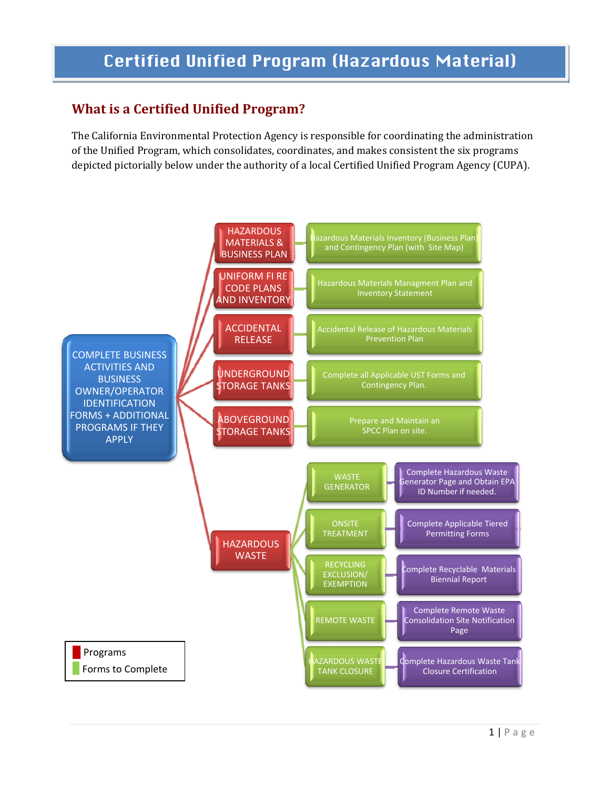# Certified Unified Program (Hazardous Material)

# **What is a Certified Unified Program?**

The California Environmental Protection Agency is responsible for coordinating the administration of the Unified Program, which consolidates, coordinates, and makes consistent the six programs depicted pictorially below under the authority of a local Certified Unified Program Agency (CUPA).

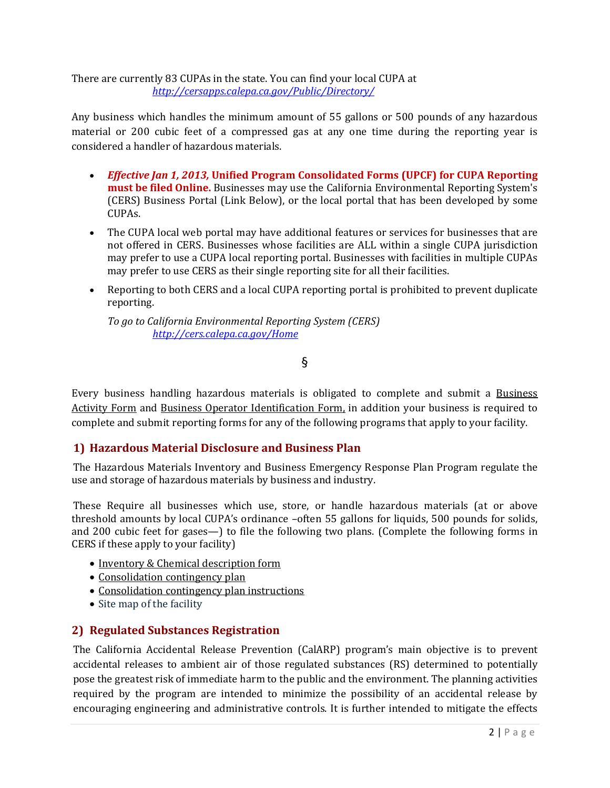There are currently 83 CUPAs in the state. You can find your local CUPA at *http://cersapps.calepa.ca.gov/Public/Directory/*

Any business which handles the minimum amount of 55 gallons or 500 pounds of any hazardous material or 200 cubic feet of a compressed gas at any one time during the reporting year is considered a handler of hazardous materials.

- *Effective Jan 1, 2013,* **Unified Program Consolidated Forms (UPCF) for CUPA Reporting must be filed Online.** Businesses may use the California Environmental Reporting System's (CERS) Business Portal (Link Below), or the local portal that has been developed by some CUPAs.
- The CUPA local web portal may have additional features or services for businesses that are not offered in CERS. Businesses whose facilities are ALL within a single CUPA jurisdiction may prefer to use a CUPA local reporting portal. Businesses with facilities in multiple CUPAs may prefer to use CERS as their single reporting site for all their facilities.
- Reporting to both CERS and a local CUPA reporting portal is prohibited to prevent duplicate reporting.

*To go to California Environmental Reporting System (CERS) http://cers.calepa.ca.gov/Home* 

§

Every business handling hazardous materials is obligated to complete and submit a Business Activity Form and Business Operator Identification Form, in addition your business is required to complete and submit reporting forms for any of the following programs that apply to your facility.

#### **1) Hazardous Material Disclosure and Business Plan**

The Hazardous Materials Inventory and Business Emergency Response Plan Program regulate the use and storage of hazardous materials by business and industry.

These Require all businesses which use, store, or handle hazardous materials (at or above threshold amounts by local CUPA's ordinance -often 55 gallons for liquids, 500 pounds for solids, and 200 cubic feet for gases—) to file the following two plans. (Complete the following forms in CERS if these apply to your facility)

- Inventory & Chemical description form
- Consolidation contingency plan
- Consolidation contingency plan instructions
- Site map of the facility

#### **2) Regulated Substances Registration**

The California Accidental Release Prevention (CalARP) program's main objective is to prevent accidental releases to ambient air of those regulated substances (RS) determined to potentially pose the greatest risk of immediate harm to the public and the environment. The planning activities required by the program are intended to minimize the possibility of an accidental release by encouraging engineering and administrative controls. It is further intended to mitigate the effects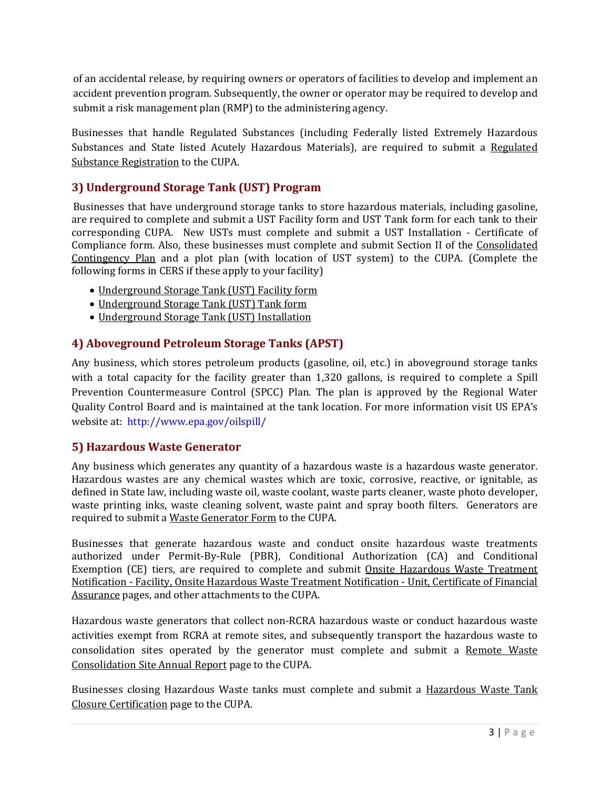of an accidental release, by requiring owners or operators of facilities to develop and implement an accident prevention program. Subsequently, the owner or operator may be required to develop and submit a risk management plan (RMP) to the administering agency.

Businesses that handle Regulated Substances (including Federally listed Extremely Hazardous Substances and State listed Acutely Hazardous Materials), are required to submit a Regulated Substance Registration to the CUPA.

## **3) Underground Storage Tank (UST) Program**

Businesses that have underground storage tanks to store hazardous materials, including gasoline, are required to complete and submit a UST Facility form and UST Tank form for each tank to their corresponding CUPA. New USTs must complete and submit a UST Installation ‐ Certificate of Compliance form. Also, these businesses must complete and submit Section II of the Consolidated Contingency Plan and a plot plan (with location of UST system) to the CUPA. (Complete the following forms in CERS if these apply to your facility)

- Underground Storage Tank (UST) Facility form
- Underground Storage Tank (UST) Tank form
- Underground Storage Tank (UST) Installation

### **4) Aboveground Petroleum Storage Tanks (APST)**

Any business, which stores petroleum products (gasoline, oil, etc.) in aboveground storage tanks with a total capacity for the facility greater than 1,320 gallons, is required to complete a Spill Prevention Countermeasure Control (SPCC) Plan. The plan is approved by the Regional Water Quality Control Board and is maintained at the tank location. For more information visit US EPA's website at: http://www.epa.gov/oilspill/

### **5) Hazardous Waste Generator**

Any business which generates any quantity of a hazardous waste is a hazardous waste generator. Hazardous wastes are any chemical wastes which are toxic, corrosive, reactive, or ignitable, as defined in State law, including waste oil, waste coolant, waste parts cleaner, waste photo developer, waste printing inks, waste cleaning solvent, waste paint and spray booth filters. Generators are required to submit a Waste Generator Form to the CUPA.

Businesses that generate hazardous waste and conduct onsite hazardous waste treatments authorized under Permit‐By‐Rule (PBR), Conditional Authorization (CA) and Conditional Exemption (CE) tiers, are required to complete and submit Onsite Hazardous Waste Treatment Notification ‐ Facility, Onsite Hazardous Waste Treatment Notification ‐ Unit, Certificate of Financial Assurance pages, and other attachments to the CUPA.

Hazardous waste generators that collect non‐RCRA hazardous waste or conduct hazardous waste activities exempt from RCRA at remote sites, and subsequently transport the hazardous waste to consolidation sites operated by the generator must complete and submit a Remote Waste Consolidation Site Annual Report page to the CUPA.

Businesses closing Hazardous Waste tanks must complete and submit a Hazardous Waste Tank Closure Certification page to the CUPA.